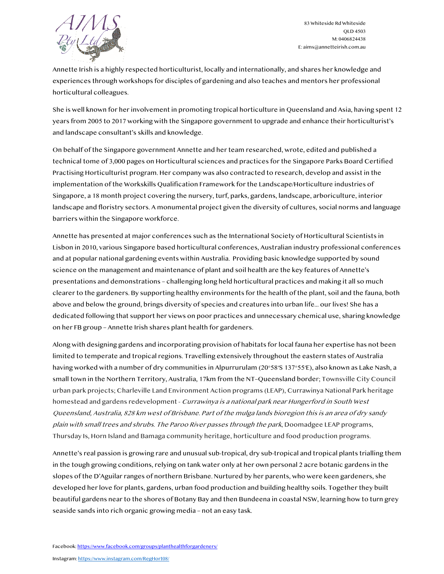

83 Whiteside Rd Whiteside QLD 4503 M: 0406824438 E: aims@annetteirish.com.au

Annette Irish is a highly respected horticulturist, locally and internationally, and shares her knowledge and experiences through workshops for disciples of gardening and also teaches and mentors her professional horticultural colleagues.

She is well known for her involvement in promoting tropical horticulture in Queensland and Asia, having spent 12 years from 2005 to 2017 working with the Singapore government to upgrade and enhance their horticulturist's and landscape consultant's skills and knowledge.

On behalf of the Singapore government Annette and her team researched, wrote, edited and published a technical tome of 3,000 pages on Horticultural sciences and practices for the Singapore Parks Board Certified Practising Horticulturist program. Her company was also contracted to research, develop and assist in the implementation of the Workskills Qualification Framework for the Landscape/Horticulture industries of Singapore, a 18 month project covering the nursery, turf, parks, gardens, landscape, arboriculture, interior landscape and floristry sectors. A monumental project given the diversity of cultures, social norms and language barriers within the Singapore workforce.

Annette has presented at major conferences such as the International Society of Horticultural Scientists in Lisbon in 2010, various Singapore based horticultural conferences, Australian industry professional conferences and at popular national gardening events within Australia. Providing basic knowledge supported by sound science on the management and maintenance of plant and soil health are the key features of Annette's presentations and demonstrations – challenging long held horticultural practices and making it all so much clearer to the gardeners. By supporting healthy environments for the health of the plant, soil and the fauna, both above and below the ground, brings diversity of species and creatures into urban life... our lives! She has a dedicated following that support her views on poor practices and unnecessary chemical use, sharing knowledge on her FB group – Annette Irish shares plant health for gardeners.

Along with designing gardens and incorporating provision of habitats for local fauna her expertise has not been limited to temperate and tropical regions. Travelling extensively throughout the eastern states of Australia having worked with a number of dry communities in Alpurrurulam (20°58′S 137°55′E), also known as Lake Nash, a small town in the Northern Territory, Australia, 17km from the NT–Queensland border; Townsville City Council urban park projects; Charleville Land Environment Action programs (LEAP), Currawinya National Park heritage homestead and gardens redevelopment - Currawinya is a national park near Hungerford in South West Queensland, Australia, 828 km west of Brisbane. Part of the mulga lands bioregion this is an area of dry sandy plain with small trees and shrubs. The Paroo River passes through the park, Doomadgee LEAP programs, Thursday Is, Horn Island and Bamaga community heritage, horticulture and food production programs.

Annette's real passion is growing rare and unusual sub-tropical, dry sub-tropical and tropical plants trialling them in the tough growing conditions, relying on tank water only at her own personal 2 acre botanic gardens in the slopes of the D'Aguilar ranges of northern Brisbane. Nurtured by her parents, who were keen gardeners, she developed her love for plants, gardens, urban food production and building healthy soils. Together they built beautiful gardens near to the shores of Botany Bay and then Bundeena in coastal NSW, learning how to turn grey seaside sands into rich organic growing media – not an easy task.

Facebook: https://www.facebook.com/groups/planthealthforgardeners/